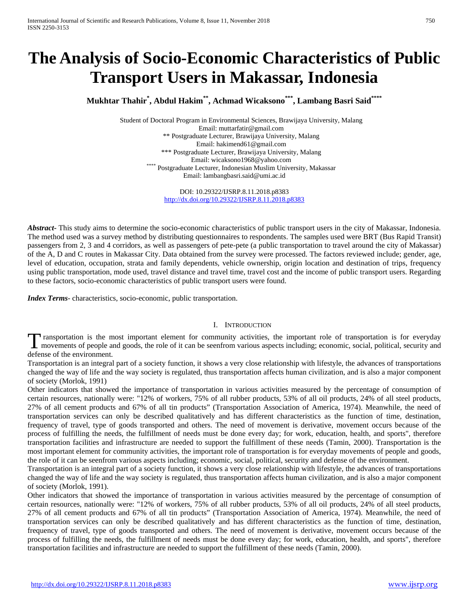# **The Analysis of Socio-Economic Characteristics of Public Transport Users in Makassar, Indonesia**

**Mukhtar Thahir\* , Abdul Hakim\*\*, Achmad Wicaksono\*\*\* , Lambang Basri Said\*\*\*\*** 

Student of Doctoral Program in Environmental Sciences, Brawijaya University, Malang Email: muttarfatir@gmail.com \*\* Postgraduate Lecturer, Brawijaya University, Malang Email[: hakimend61@gmail.com](mailto:hakimend61@gmail.com) \*\*\* Postgraduate Lecturer, Brawijaya University, Malang Email: wicaksono1968@yahoo.com<br>Postgraduate Lecturer, Indonesian Muslim University, Makassar Email[: lambangbasri.said@umi.ac.id](mailto:lambangbasri.said@umi.ac.id)

> DOI: 10.29322/IJSRP.8.11.2018.p8383 <http://dx.doi.org/10.29322/IJSRP.8.11.2018.p8383>

*Abstract***-** This study aims to determine the socio-economic characteristics of public transport users in the city of Makassar, Indonesia. The method used was a survey method by distributing questionnaires to respondents. The samples used were BRT (Bus Rapid Transit) passengers from 2, 3 and 4 corridors, as well as passengers of pete-pete (a public transportation to travel around the city of Makassar) of the A, D and C routes in Makassar City. Data obtained from the survey were processed. The factors reviewed include; gender, age, level of education, occupation, strata and family dependents, vehicle ownership, origin location and destination of trips, frequency using public transportation, mode used, travel distance and travel time, travel cost and the income of public transport users. Regarding to these factors, socio-economic characteristics of public transport users were found.

*Index Terms*- characteristics, socio-economic, public transportation.

### I. INTRODUCTION

Transportation is the most important element for community activities, the important role of transportation is for everyday Transportation is the most important element for community activities, the important role of transportation is for everyday movements of people and goods, the role of it can be seenfrom various aspects including; economic, defense of the environment.

Transportation is an integral part of a society function, it shows a very close relationship with lifestyle, the advances of transportations changed the way of life and the way society is regulated, thus transportation affects human civilization, and is also a major component of society (Morlok, 1991)

Other indicators that showed the importance of transportation in various activities measured by the percentage of consumption of certain resources, nationally were: "12% of workers, 75% of all rubber products, 53% of all oil products, 24% of all steel products, 27% of all cement products and 67% of all tin products" (Transportation Association of America, 1974). Meanwhile, the need of transportation services can only be described qualitatively and has different characteristics as the function of time, destination, frequency of travel, type of goods transported and others. The need of movement is derivative, movement occurs because of the process of fulfilling the needs, the fulfillment of needs must be done every day; for work, education, health, and sports", therefore transportation facilities and infrastructure are needed to support the fulfillment of these needs (Tamin, 2000). Transportation is the most important element for community activities, the important role of transportation is for everyday movements of people and goods, the role of it can be seenfrom various aspects including; economic, social, political, security and defense of the environment.

Transportation is an integral part of a society function, it shows a very close relationship with lifestyle, the advances of transportations changed the way of life and the way society is regulated, thus transportation affects human civilization, and is also a major component of society (Morlok, 1991).

Other indicators that showed the importance of transportation in various activities measured by the percentage of consumption of certain resources, nationally were: "12% of workers, 75% of all rubber products, 53% of all oil products, 24% of all steel products, 27% of all cement products and 67% of all tin products" (Transportation Association of America, 1974). Meanwhile, the need of transportation services can only be described qualitatively and has different characteristics as the function of time, destination, frequency of travel, type of goods transported and others. The need of movement is derivative, movement occurs because of the process of fulfilling the needs, the fulfillment of needs must be done every day; for work, education, health, and sports", therefore transportation facilities and infrastructure are needed to support the fulfillment of these needs (Tamin, 2000).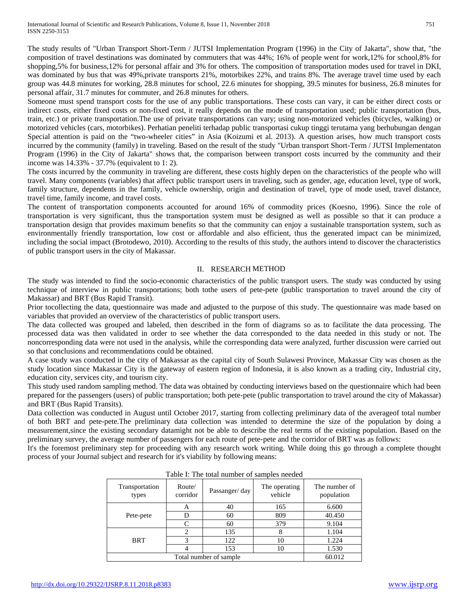The study results of "Urban Transport Short-Term / JUTSI Implementation Program (1996) in the City of Jakarta", show that, "the composition of travel destinations was dominated by commuters that was 44%; 16% of people went for work,12% for school,8% for shopping,5% for business,12% for personal affair and 3% for others. The composition of transportation modes used for travel in DKI, was dominated by bus that was 49%,private transports 21%, motorbikes 22%, and trains 8%. The average travel time used by each group was 44.8 minutes for working, 28.8 minutes for school, 22.6 minutes for shopping, 39.5 minutes for business, 26.8 minutes for personal affair, 31.7 minutes for commuter, and 26.8 minutes for others.

Someone must spend transport costs for the use of any public transportations. These costs can vary, it can be either direct costs or indirect costs, either fixed costs or non-fixed cost, it really depends on the mode of transportation used; public transportation (bus, train, etc.) or private transportation.The use of private transportations can vary; using non-motorized vehicles (bicycles, walking) or motorized vehicles (cars, motorbikes). Perhatian peneliti terhadap public transportasi cukup tinggi terutama yang berhubungan dengan Special attention is paid on the "two-wheeler cities" in Asia (Koizumi et al. 2013). A question arises, how much transport costs incurred by the community (family) in traveling. Based on the result of the study "Urban transport Short-Term / JUTSI Implementaton Program (1996) in the City of Jakarta" shows that, the comparison between transport costs incurred by the community and their income was 14.33% - 37.7% (equivalent to 1: 2).

The costs incurred by the community in traveling are different, these costs highly depen on the characteristics of the people who will travel. Many components (variables) that affect public transport users in traveling, such as gender, age, education level, type of work, family structure, dependents in the family, vehicle ownership, origin and destination of travel, type of mode used, travel distance, travel time, family income, and travel costs.

The content of transportation components accounted for around 16% of commodity prices (Koesno, 1996). Since the role of transportation is very significant, thus the transportation system must be designed as well as possible so that it can produce a transportation design that provides maximum benefits so that the community can enjoy a sustainable transportation system, such as environmentally friendly transportation, low cost or affordable and also efficient, thus the generated impact can be minimized, including the social impact (Brotodewo, 2010). According to the results of this study, the authors intend to discover the characteristics of public transport users in the city of Makassar.

# II. RESEARCH METHOD

The study was intended to find the socio-economic characteristics of the public transport users. The study was conducted by using technique of interview in public transportations; both tothe users of pete-pete (public transportation to travel around the city of Makassar) and BRT (Bus Rapid Transit).

Prior tocollecting the data, questionnaire was made and adjusted to the purpose of this study. The questionnaire was made based on variables that provided an overview of the characteristics of public transport users.

The data collected was grouped and labeled, then described in the form of diagrams so as to facilitate the data processing. The processed data was then validated in order to see whether the data corresponded to the data needed in this study or not. The noncorresponding data were not used in the analysis, while the corresponding data were analyzed, further discussion were carried out so that conclusions and recommendations could be obtained.

A case study was conducted in the city of Makassar as the capital city of South Sulawesi Province, Makassar City was chosen as the study location since Makassar City is the gateway of eastern region of Indonesia, it is also known as a trading city, Industrial city, education city, services city, and tourism city.

This study used random sampling method. The data was obtained by conducting interviews based on the questionnaire which had been prepared for the passengers (users) of public transportation; both pete-pete (public transportation to travel around the city of Makassar) and BRT (Bus Rapid Transits).

Data collection was conducted in August until October 2017, starting from collecting preliminary data of the averageof total number of both BRT and pete-pete.The preliminary data collection was intended to determine the size of the population by doing a measurement,since the existing secondary datamight not be able to describe the real terms of the existing population. Based on the preliminary survey, the average number of passengers for each route of pete-pete and the corridor of BRT was as follows:

It's the foremost preliminary step for proceeding with any research work writing. While doing this go through a complete thought process of your Journal subject and research for it's viability by following means:

| Transportation<br>types | Route/<br>corridor | Passanger/day          | The operating<br>vehicle | The number of<br>population |  |  |
|-------------------------|--------------------|------------------------|--------------------------|-----------------------------|--|--|
|                         | A                  | 40                     | 165                      | 6.600                       |  |  |
| Pete-pete               |                    | 60                     | 809                      | 40.450                      |  |  |
|                         | $\mathsf{C}$       | 60                     | 379                      | 9.104                       |  |  |
|                         | っ                  | 135                    | 8                        | 1.104                       |  |  |
| <b>BRT</b>              | 3                  | 122                    | 10                       | 1.224                       |  |  |
|                         |                    | 153                    | 10                       | 1.530                       |  |  |
|                         |                    | Total number of sample |                          | 60.012                      |  |  |

Table I: The total number of samples needed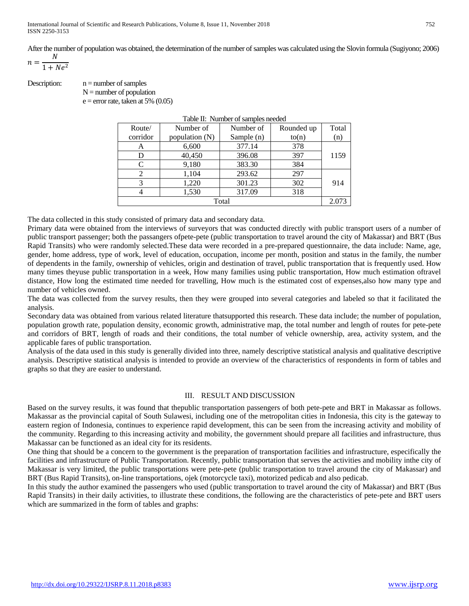After the number of population was obtained, the determination of the number of samples was calculated using the Slovin formula (Sugiyono; 2006)

$$
n = \frac{N}{1 + Ne^2}
$$

Description:  $n =$  number of samples  $N =$  number of population

 $e =$  error rate, taken at 5% (0.05)

| Table II. Tumber of samples needed                                                                                                                              |                |              |            |       |  |  |
|-----------------------------------------------------------------------------------------------------------------------------------------------------------------|----------------|--------------|------------|-------|--|--|
| Route/                                                                                                                                                          | Number of      | Number of    | Rounded up | Total |  |  |
| corridor                                                                                                                                                        | population (N) | Sample $(n)$ | to(n)      | (n)   |  |  |
| А                                                                                                                                                               | 6,600          | 377.14       | 378        |       |  |  |
| D                                                                                                                                                               | 40,450         | 396.08       | 397        | 1159  |  |  |
| C                                                                                                                                                               | 9,180          | 383.30       | 384        |       |  |  |
| $\mathcal{D}_{\mathcal{A}}^{\mathcal{A}}(\mathcal{A})=\mathcal{D}_{\mathcal{A}}^{\mathcal{A}}(\mathcal{A})\mathcal{D}_{\mathcal{A}}^{\mathcal{A}}(\mathcal{A})$ | 1,104          | 293.62       | 297        |       |  |  |
| 3                                                                                                                                                               | 1,220          | 301.23       | 302        | 914   |  |  |
|                                                                                                                                                                 | 1,530          | 317.09       | 318        |       |  |  |
|                                                                                                                                                                 |                | Total        |            | 2.073 |  |  |

Table II: Number of samples needed

The data collected in this study consisted of primary data and secondary data.

Primary data were obtained from the interviews of surveyors that was conducted directly with public transport users of a number of public transport passenger; both the passangers ofpete-pete (public transportation to travel around the city of Makassar) and BRT (Bus Rapid Transits) who were randomly selected.These data were recorded in a pre-prepared questionnaire, the data include: Name, age, gender, home address, type of work, level of education, occupation, income per month, position and status in the family, the number of dependents in the family, ownership of vehicles, origin and destination of travel, public transportation that is frequently used. How many times theyuse public transportation in a week, How many families using public transportation, How much estimation oftravel distance, How long the estimated time needed for travelling, How much is the estimated cost of expenses,also how many type and number of vehicles owned.

The data was collected from the survey results, then they were grouped into several categories and labeled so that it facilitated the analysis.

Secondary data was obtained from various related literature thatsupported this research. These data include; the number of population, population growth rate, population density, economic growth, administrative map, the total number and length of routes for pete-pete and corridors of BRT, length of roads and their conditions, the total number of vehicle ownership, area, activity system, and the applicable fares of public transportation.

Analysis of the data used in this study is generally divided into three, namely descriptive statistical analysis and qualitative descriptive analysis. Descriptive statistical analysis is intended to provide an overview of the characteristics of respondents in form of tables and graphs so that they are easier to understand.

### III. RESULT AND DISCUSSION

Based on the survey results, it was found that thepublic transportation passengers of both pete-pete and BRT in Makassar as follows. Makassar as the provincial capital of South Sulawesi, including one of the metropolitan cities in Indonesia, this city is the gateway to eastern region of Indonesia, continues to experience rapid development, this can be seen from the increasing activity and mobility of the community. Regarding to this increasing activity and mobility, the government should prepare all facilities and infrastructure, thus Makassar can be functioned as an ideal city for its residents.

One thing that should be a concern to the government is the preparation of transportation facilities and infrastructure, especifically the facilities and infrastructure of Public Transportation. Recently, public transportation that serves the activities and mobility inthe city of Makassar is very limited, the public transportations were pete-pete (public transportation to travel around the city of Makassar) and BRT (Bus Rapid Transits), on-line transportations, ojek (motorcycle taxi), motorized pedicab and also pedicab.

In this study the author examined the passengers who used (public transportation to travel around the city of Makassar) and BRT (Bus Rapid Transits) in their daily activities, to illustrate these conditions, the following are the characteristics of pete-pete and BRT users which are summarized in the form of tables and graphs: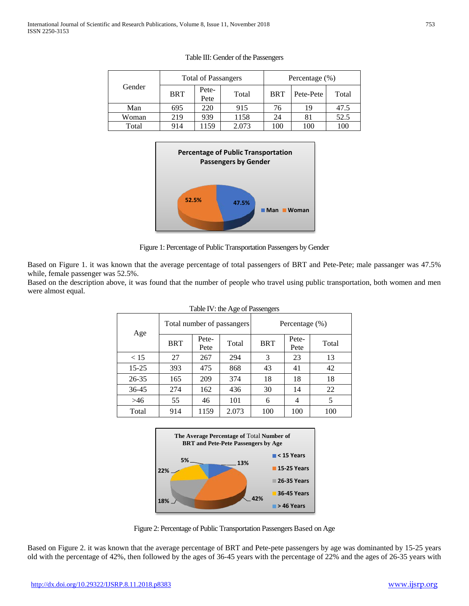|        | <b>Total of Passangers</b> |               |       | Percentage $(\%)$ |           |       |  |
|--------|----------------------------|---------------|-------|-------------------|-----------|-------|--|
| Gender | <b>BRT</b>                 | Pete-<br>Pete | Total | <b>BRT</b>        | Pete-Pete | Total |  |
| Man    | 695                        | 220           | 915   | 76                | 19        | 47.5  |  |
| Woman  | 219                        | 939           | 1158  | 24                |           | 52.5  |  |
| Total  | 914                        | .159          | 2.073 | 100               | 100       | 100   |  |

# Table III: Gender of the Passengers



Figure 1: Percentage of Public Transportation Passengers by Gender

Based on Figure 1. it was known that the average percentage of total passengers of BRT and Pete-Pete; male passanger was 47.5% while, female passenger was 52.5%.

Based on the description above, it was found that the number of people who travel using public transportation, both women and men were almost equal.

| $1400 \times 110 \times 1500 \times 14000 \times 1500$ |            |               |                            |                |               |       |  |
|--------------------------------------------------------|------------|---------------|----------------------------|----------------|---------------|-------|--|
| Age                                                    |            |               | Total number of passangers | Percentage (%) |               |       |  |
|                                                        | <b>BRT</b> | Pete-<br>Pete | Total                      | <b>BRT</b>     | Pete-<br>Pete | Total |  |
| < 15                                                   | 27         | 267           | 294                        | 3              | 23            | 13    |  |
| $15 - 25$                                              | 393        | 475           | 868                        | 43             | 41            | 42    |  |
| 26-35                                                  | 165        | 209           | 374                        | 18             | 18            | 18    |  |
| 36-45                                                  | 274        | 162           | 436                        | 30             | 14            | 22    |  |
| >46                                                    | 55         | 46            | 101                        | 6              | 4             | 5     |  |
| Total                                                  | 914        | 1159          | 2.073                      | 100            | 100           | 100   |  |

# Table IV: the Age of Passengers



Figure 2: Percentage of Public Transportation Passengers Based on Age

Based on Figure 2. it was known that the average percentage of BRT and Pete-pete passengers by age was dominanted by 15-25 years old with the percentage of 42%, then followed by the ages of 36-45 years with the percentage of 22% and the ages of 26-35 years with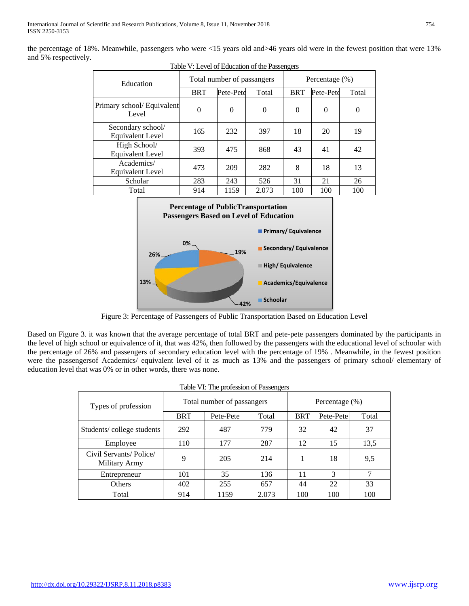the percentage of 18%. Meanwhile, passengers who were <15 years old and>46 years old were in the fewest position that were 13% and 5% respectively.

| Education                                    |            | Total number of passangers |          | Percentage $(\%)$ |           |          |  |
|----------------------------------------------|------------|----------------------------|----------|-------------------|-----------|----------|--|
|                                              | <b>BRT</b> | Pete-Pete                  | Total    | <b>BRT</b>        | Pete-Pete | Total    |  |
| Primary school/ Equivalent<br>Level          | $\theta$   | $\Omega$                   | $\theta$ | $\theta$          | $\Omega$  | $\Omega$ |  |
| Secondary school/<br><b>Equivalent Level</b> | 165        | 232                        | 397      | 18                | 20        | 19       |  |
| High School/<br><b>Equivalent Level</b>      | 393        | 475                        | 868      | 43                | 41        | 42       |  |
| Academics/<br><b>Equivalent Level</b>        | 473        | 209                        | 282      | 8                 | 18        | 13       |  |
| Scholar                                      | 283        | 243                        | 526      | 31                | 21        | 26       |  |
| Total                                        | 914        | 1159                       | 2.073    | 100               | 100       | 100      |  |





Figure 3: Percentage of Passengers of Public Transportation Based on Education Level

Based on Figure 3. it was known that the average percentage of total BRT and pete-pete passengers dominated by the participants in the level of high school or equivalence of it, that was 42%, then followed by the passengers with the educational level of schoolar with the percentage of 26% and passengers of secondary education level with the percentage of 19% . Meanwhile, in the fewest position were the passengersof Academics/ equivalent level of it as much as 13% and the passengers of primary school/ elementary of education level that was 0% or in other words, there was none.

| Table VI: The profession of Passengers |  |  |  |  |
|----------------------------------------|--|--|--|--|
|----------------------------------------|--|--|--|--|

| Types of profession                     | Total number of passangers | Percentage (%) |       |            |           |       |
|-----------------------------------------|----------------------------|----------------|-------|------------|-----------|-------|
|                                         | <b>BRT</b>                 | Pete-Pete      | Total | <b>BRT</b> | Pete-Pete | Total |
| Students/college students               | 292                        | 487            | 779   | 32         | 42        | 37    |
| Employee                                | 110                        | 177            | 287   | 12         | 15        | 13,5  |
| Civil Servants/Police/<br>Military Army | 9                          | 205            | 214   |            | 18        | 9.5   |
| Entrepreneur                            | 101                        | 35             | 136   | 11         | 3         | 7     |
| <b>Others</b>                           | 402                        | 255            | 657   | 44         | 22        | 33    |
| Total                                   | 914                        | 1159           | 2.073 | 100        | 100       | 100   |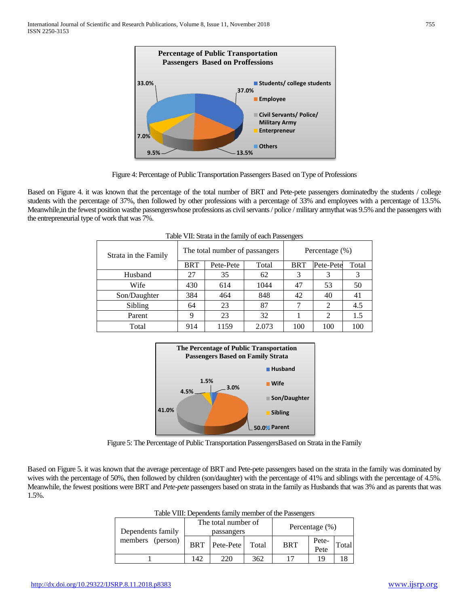



Based on Figure 4. it was known that the percentage of the total number of BRT and Pete-pete passengers dominatedby the students / college students with the percentage of 37%, then followed by other professions with a percentage of 33% and employees with a percentage of 13.5%. Meanwhile,in the fewest position wasthe passengerswhose professions as civil servants / police / military armythat was 9.5% and the passengers with the entrepreneurial type of work that was 7%.

| Strata in the Family |            | The total number of passangers |       | Percentage $(\% )$ |                |       |
|----------------------|------------|--------------------------------|-------|--------------------|----------------|-------|
|                      | <b>BRT</b> | Pete-Pete                      | Total | <b>BRT</b>         | Pete-Pete      | Total |
| Husband              | 27         | 35                             | 62    |                    |                |       |
| Wife                 | 430        | 614                            | 1044  | 47                 | 53             | 50    |
| Son/Daughter         | 384        | 464                            | 848   | 42                 | 40             | 41    |
| Sibling              | 64         | 23                             | 87    |                    | 2              | 4.5   |
| Parent               | 9          | 23                             | 32    |                    | $\mathfrak{D}$ | 1.5   |
| Total                | 914        | 1159                           | 2.073 | 100                | 100            | 100   |

Table VII: Strata in the family of each Passengers



Figure 5: The Percentage of Public Transportation PassengersBased on Strata in the Family

Based on Figure 5. it was known that the average percentage of BRT and Pete-pete passengers based on the strata in the family was dominated by wives with the percentage of 50%, then followed by children (son/daughter) with the percentage of 41% and siblings with the percentage of 4.5%. Meanwhile, the fewest positions were BRT and *Pete-pete* passengers based on strata in the family as Husbands that was 3% and as parents that was 1.5%.

| Dependents family |            | The total number of<br>passangers |       |            | Percentage $(\%)$ |       |  |
|-------------------|------------|-----------------------------------|-------|------------|-------------------|-------|--|
| members (person)  | <b>BRT</b> | Pete-Pete                         | Total | <b>BRT</b> | Pete-<br>Pete     | Total |  |
|                   | 142        | 220                               | 362   | 17         | 19                |       |  |

Table VIII: Dependents family member of the Passengers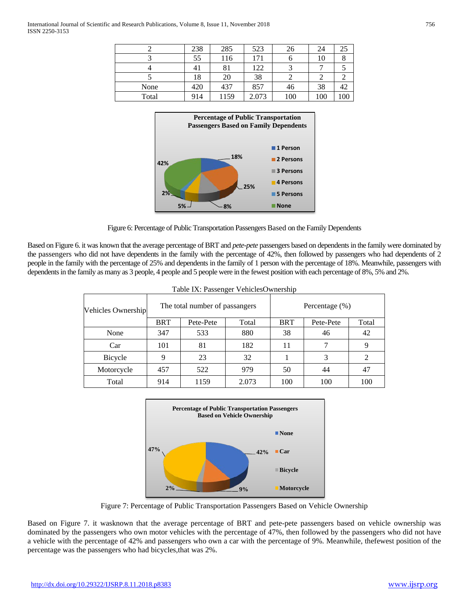|       | 238 | 285  | 523   | 26  | 24  | 25  |
|-------|-----|------|-------|-----|-----|-----|
|       | 55  | 116  | 171   |     | 10  |     |
|       | 41  | 81   | 122   |     |     |     |
|       | 18  | 20   | 38    |     | ∠   |     |
| None  | 420 | 437  | 857   | 46  | 38  | 42  |
| Total | 914 | 1159 | 2.073 | 100 | 100 | 100 |





Based on Figure 6. it was known that the average percentage of BRT and *pete-pete* passengers based on dependents in the family were dominated by the passengers who did not have dependents in the family with the percentage of 42%, then followed by passengers who had dependents of 2 people in the family with the percentage of 25% and dependents in the family of 1 person with the percentage of 18%. Meanwhile, passengers with dependents in the family as many as 3 people, 4 people and 5 people were in the fewest position with each percentage of 8%, 5% and 2%.

| Table IX: Passenger VehiclesOwnership |            |                                |       |                   |           |       |  |  |  |
|---------------------------------------|------------|--------------------------------|-------|-------------------|-----------|-------|--|--|--|
| <b>Vehicles Ownership</b>             |            | The total number of passangers |       | Percentage $(\%)$ |           |       |  |  |  |
|                                       | <b>BRT</b> | Pete-Pete                      | Total | <b>BRT</b>        | Pete-Pete | Total |  |  |  |
| None                                  | 347        | 533                            | 880   | 38                | 46        | 42    |  |  |  |
| Car                                   | 101        | 81                             | 182   | 11                | 7         | 9     |  |  |  |
| <b>Bicycle</b>                        | 9          | 23                             | 32    |                   | 3         | 2     |  |  |  |
| Motorcycle                            | 457        | 522                            | 979   | 50                | 44        | 47    |  |  |  |
| Total                                 | 914        | 1159                           | 2.073 | 100               | 100       | 100   |  |  |  |



Figure 7: Percentage of Public Transportation Passengers Based on Vehicle Ownership

Based on Figure 7. it wasknown that the average percentage of BRT and pete-pete passengers based on vehicle ownership was dominated by the passengers who own motor vehicles with the percentage of 47%, then followed by the passengers who did not have a vehicle with the percentage of 42% and passengers who own a car with the percentage of 9%. Meanwhile, thefewest position of the percentage was the passengers who had bicycles,that was 2%.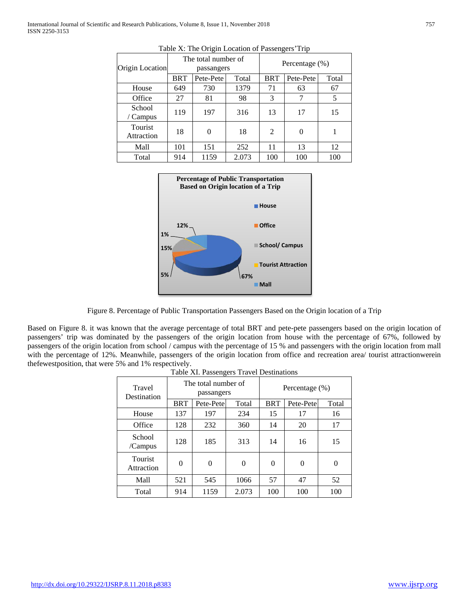|                              |            | o                                 |       | $\circ$           |           |       |  |
|------------------------------|------------|-----------------------------------|-------|-------------------|-----------|-------|--|
| Origin Location              |            | The total number of<br>passangers |       | Percentage $(\%)$ |           |       |  |
|                              | <b>BRT</b> | Pete-Pete                         | Total | <b>BRT</b>        | Pete-Pete | Total |  |
| House                        | 649        | 730                               | 1379  | 71                | 63        | 67    |  |
| Office                       | 27         | 81                                | 98    | 3                 | 7         | 5     |  |
| School<br>/ Campus           | 119        | 197                               | 316   | 13                | 17        | 15    |  |
| <b>Tourist</b><br>Attraction | 18         | $\Omega$                          | 18    | 2                 | $\Omega$  |       |  |
| Mall                         | 101        | 151                               | 252   | 11                | 13        | 12    |  |
| Total                        | 914        | 1159                              | 2.073 | 100               | 100       | 100   |  |





Figure 8. Percentage of Public Transportation Passengers Based on the Origin location of a Trip

Based on Figure 8. it was known that the average percentage of total BRT and pete-pete passengers based on the origin location of passengers' trip was dominated by the passengers of the origin location from house with the percentage of 67%, followed by passengers of the origin location from school / campus with the percentage of 15 % and passengers with the origin location from mall with the percentage of 12%. Meanwhile, passengers of the origin location from office and recreation area/ tourist attractionwerein thefewestposition, that were 5% and 1% respectively.

| Ð                     |            |                                   |       |                |           |       |  |  |
|-----------------------|------------|-----------------------------------|-------|----------------|-----------|-------|--|--|
| Travel<br>Destination |            | The total number of<br>passangers |       | Percentage (%) |           |       |  |  |
|                       | <b>BRT</b> | Pete-Pete                         | Total | <b>BRT</b>     | Pete-Pete | Total |  |  |
| House                 | 137        | 197                               | 234   | 15             | 17        | 16    |  |  |
| Office                | 128        | 232                               | 360   | 14             | 20        | 17    |  |  |
| School<br>/Campus     | 128        | 185                               | 313   | 14             | 16        | 15    |  |  |
| Tourist<br>Attraction | 0          | $\Omega$                          | 0     | 0              | $\theta$  |       |  |  |
| Mall                  | 521        | 545                               | 1066  | 57             | 47        | 52    |  |  |
| Total                 | 914        | 1159                              | 2.073 | 100            | 100       | 100   |  |  |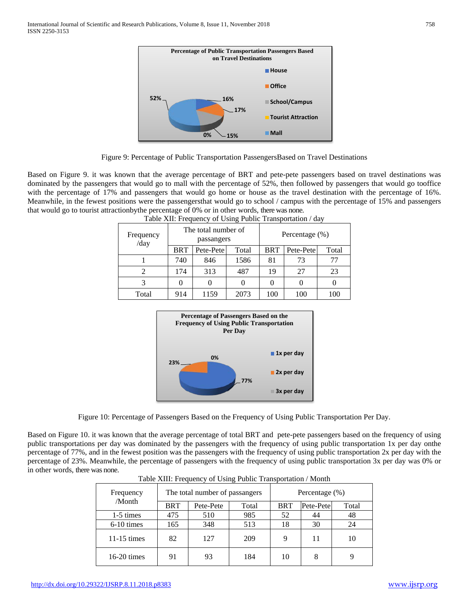

Figure 9: Percentage of Public Transportation PassengersBased on Travel Destinations

Based on Figure 9. it was known that the average percentage of BRT and pete-pete passengers based on travel destinations was dominated by the passengers that would go to mall with the percentage of 52%, then followed by passengers that would go tooffice with the percentage of 17% and passengers that would go home or house as the travel destination with the percentage of 16%. Meanwhile, in the fewest positions were the passengersthat would go to school / campus with the percentage of 15% and passengers that would go to tourist attractionbythe percentage of 0% or in other words, there was none.

| Frequency<br>/day |            | The total number of<br>passangers |       | Percentage (%) |           |       |  |
|-------------------|------------|-----------------------------------|-------|----------------|-----------|-------|--|
|                   | <b>BRT</b> | Pete-Pete                         | Total | <b>BRT</b>     | Pete-Pete | Total |  |
|                   | 740        | 846                               | 1586  | 81             | 73        | 77    |  |
|                   | 174        | 313                               | 487   | 19             | 27        | 23    |  |
|                   |            |                                   |       |                |           |       |  |
| Total             | 914        | 1159                              | 2073  | 100            | 100       | 100   |  |

| Table XII: Frequency of Using Public Transportation / day |  |
|-----------------------------------------------------------|--|
|-----------------------------------------------------------|--|



Figure 10: Percentage of Passengers Based on the Frequency of Using Public Transportation Per Day.

Based on Figure 10. it was known that the average percentage of total BRT and pete-pete passengers based on the frequency of using public transportations per day was dominated by the passengers with the frequency of using public transportation 1x per day onthe percentage of 77%, and in the fewest position was the passengers with the frequency of using public transportation 2x per day with the percentage of 23%. Meanwhile, the percentage of passengers with the frequency of using public transportation 3x per day was 0% or in other words, there was none.

| Frequency     |            | The total number of passangers |       | Percentage $(\% )$ |           |       |  |
|---------------|------------|--------------------------------|-------|--------------------|-----------|-------|--|
| /Month        | <b>BRT</b> | Pete-Pete                      | Total | <b>BRT</b>         | Pete-Pete | Total |  |
| 1-5 times     | 475        | 510                            | 985   | 52                 | 44        | 48    |  |
| $6-10$ times  | 165        | 348                            | 513   | 18                 | 30        | 24    |  |
| $11-15$ times | 82         | 127                            | 209   | 9                  | 11        | 10    |  |
| $16-20$ times | 91         | 93                             | 184   | 10                 | 8         |       |  |

Table XIII: Frequency of Using Public Transportation / Month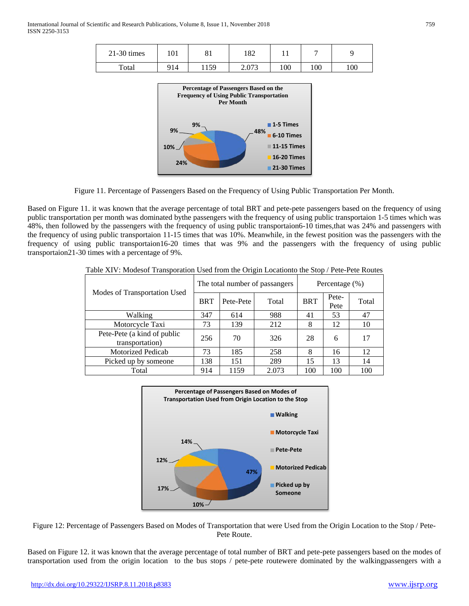| $21-30$ times | 101 | O.<br>01 | 182   |     |     |     |
|---------------|-----|----------|-------|-----|-----|-----|
| Total         | 914 | 1159     | 2.073 | 100 | 100 | 100 |



Figure 11. Percentage of Passengers Based on the Frequency of Using Public Transportation Per Month.

Based on Figure 11. it was known that the average percentage of total BRT and pete-pete passengers based on the frequency of using public transportation per month was dominated bythe passengers with the frequency of using public transportaion 1-5 times which was 48%, then followed by the passengers with the frequency of using public transportaion6-10 times,that was 24% and passengers with the frequency of using public transportaion 11-15 times that was 10%. Meanwhile, in the fewest position was the passengers with the frequency of using public transportaion16-20 times that was 9% and the passengers with the frequency of using public transportaion21-30 times with a percentage of 9%.

|                                                |            |           | The total number of passangers | Percentage $(\% )$ |               |       |  |
|------------------------------------------------|------------|-----------|--------------------------------|--------------------|---------------|-------|--|
| Modes of Transportation Used                   | <b>BRT</b> | Pete-Pete | Total                          | <b>BRT</b>         | Pete-<br>Pete | Total |  |
| Walking                                        | 347        | 614       | 988                            | 41                 | 53            | 47    |  |
| Motorcycle Taxi                                | 73         | 139       | 212                            | 8                  | 12            | 10    |  |
| Pete-Pete (a kind of public<br>transportation) | 256        | 70        | 326                            | 28                 | 6             | 17    |  |
| Motorized Pedicab                              | 73         | 185       | 258                            | 8                  | 16            | 12    |  |
| Picked up by someone                           | 138        | 151       | 289                            | 15                 | 13            | 14    |  |
| Total                                          | 914        | 1159      | 2.073                          | 100                | 100           | 100   |  |

Table XIV: Modesof Transporation Used from the Origin Locationto the Stop / Pete-Pete Routes



Figure 12: Percentage of Passengers Based on Modes of Transportation that were Used from the Origin Location to the Stop / Pete-Pete Route.

Based on Figure 12. it was known that the average percentage of total number of BRT and pete-pete passengers based on the modes of transportation used from the origin location to the bus stops / pete-pete routewere dominated by the walkingpassengers with a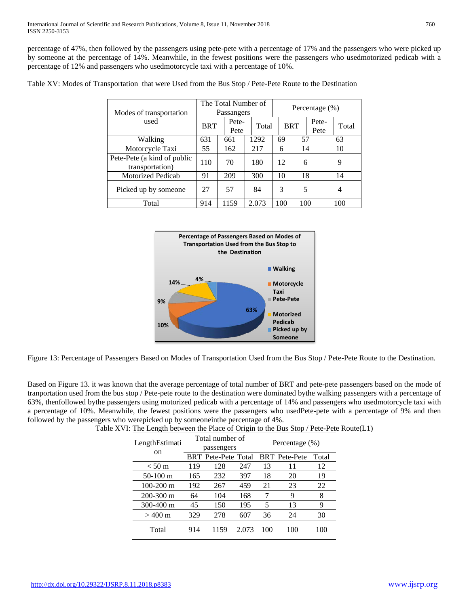percentage of 47%, then followed by the passengers using pete-pete with a percentage of 17% and the passengers who were picked up by someone at the percentage of 14%. Meanwhile, in the fewest positions were the passengers who usedmotorized pedicab with a percentage of 12% and passengers who usedmotorcycle taxi with a percentage of 10%.

| Modes of transportation                        | The Total Number of<br>Passangers |               |       | Percentage (%) |     |               |  |       |
|------------------------------------------------|-----------------------------------|---------------|-------|----------------|-----|---------------|--|-------|
| used                                           | <b>BRT</b>                        | Pete-<br>Pete | Total | <b>BRT</b>     |     | Pete-<br>Pete |  | Total |
| Walking                                        | 631                               | 661           | 1292  | 69             | 57  |               |  | 63    |
| Motorcycle Taxi                                | 55                                | 162           | 217   | 6              |     | 14            |  | 10    |
| Pete-Pete (a kind of public<br>transportation) | 110                               | 70            | 180   | 12             | 6   |               |  | 9     |
| <b>Motorized Pedicab</b>                       | 91                                | 209           | 300   | 10             | 18  |               |  | 14    |
| Picked up by someone                           | 27                                | 57            | 84    | 3              | 5   |               |  | 4     |
| Total                                          | 914                               | 1159          | 2.073 | 100            | 100 |               |  | 100   |

Table XV: Modes of Transportation that were Used from the Bus Stop / Pete-Pete Route to the Destination



Figure 13: Percentage of Passengers Based on Modes of Transportation Used from the Bus Stop / Pete-Pete Route to the Destination.

Based on Figure 13. it was known that the average percentage of total number of BRT and pete-pete passengers based on the mode of tranportation used from the bus stop / Pete-pete route to the destination were dominated bythe walking passengers with a percentage of 63%, thenfollowed bythe passengers using motorized pedicab with a percentage of 14% and passengers who usedmotorcycle taxi with a percentage of 10%. Meanwhile, the fewest positions were the passengers who usedPete-pete with a percentage of 9% and then followed by the passengers who werepicked up by someoneinthe percentage of 4%.

| LengthEstimati<br><sub>on</sub> | Total number of<br>passengers |                            |       | Percentage (%) |                      |       |
|---------------------------------|-------------------------------|----------------------------|-------|----------------|----------------------|-------|
|                                 |                               | <b>BRT</b> Pete-Pete Total |       |                | <b>BRT</b> Pete-Pete | Total |
| $\rm < 50~m$                    | 119                           | 128                        | 247   | 13             | 11                   | 12    |
| $50-100$ m                      | 165                           | 232                        | 397   | 18             | 20                   | 19    |
| $100-200$ m                     | 192                           | 267                        | 459   | 21             | 23                   | 22    |
| $200 - 300$ m                   | 64                            | 104                        | 168   |                | 9                    | 8     |
| $300 - 400$ m                   | 45                            | 150                        | 195   | 5              | 13                   | 9     |
| $>400 \text{ m}$                | 329                           | 278                        | 607   | 36             | 24                   | 30    |
| Total                           | 914                           | 1159                       | 2.073 | 100            | 100                  | 100   |

Table XVI: The Length between the Place of Origin to the Bus Stop / Pete-Pete Route(L1)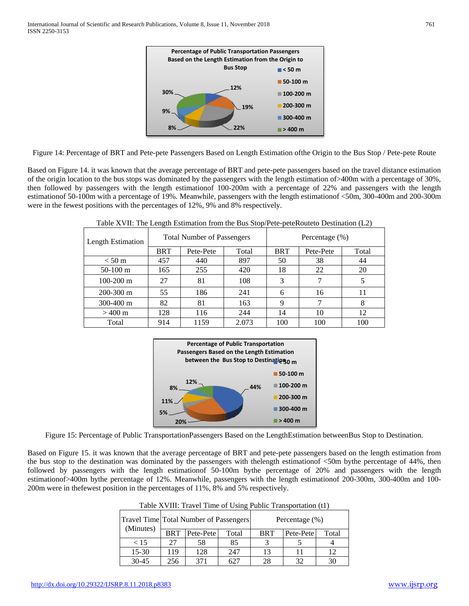

Figure 14: Percentage of BRT and Pete-pete Passengers Based on Length Estimation ofthe Origin to the Bus Stop / Pete-pete Route

Based on Figure 14. it was known that the average percentage of BRT and pete-pete passengers based on the travel distance estimation of the origin location to the bus stops was dominated by the passengers with the length estimation of>400m with a percentage of 30%, then followed by passengers with the length estimationof 100-200m with a percentage of 22% and passengers with the length estimationof 50-100m with a percentage of 19%. Meanwhile, passengers with the length estimationof <50m, 300-400m and 200-300m were in the fewest positions with the percentages of 12%, 9% and 8% respectively.

|                   | $\circ$    |                                   |       |                   |           |       |  |
|-------------------|------------|-----------------------------------|-------|-------------------|-----------|-------|--|
| Length Estimation |            | <b>Total Number of Passengers</b> |       | Percentage $(\%)$ |           |       |  |
|                   | <b>BRT</b> | Pete-Pete                         | Total | <b>BRT</b>        | Pete-Pete | Total |  |
| $< 50 \text{ m}$  | 457        | 440                               | 897   | 50                | 38        | 44    |  |
| $50-100$ m        | 165        | 255                               | 420   | 18                | 22        | 20    |  |
| $100 - 200$ m     | 27         | 81                                | 108   | 3                 |           |       |  |
| $200 - 300$ m     | 55         | 186                               | 241   | 6                 | 16        | 11    |  |
| $300 - 400$ m     | 82         | 81                                | 163   | 9                 |           | 8     |  |
| $>400 \text{ m}$  | 128        | 116                               | 244   | 14                | 10        | 12    |  |
| Total             | 914        | 1159                              | 2.073 | 100               | 100       | 100   |  |

Table XVII: The Length Estimation from the Bus Stop/Pete-peteRouteto Destination (L2)



Figure 15: Percentage of Public TransportationPassengers Based on the LengthEstimation betweenBus Stop to Destination.

Based on Figure 15. it was known that the average percentage of BRT and pete-pete passengers based on the length estimation from the bus stop to the destination was dominated by the passengers with thelength estimationof <50m bythe percentage of 44%, then followed by passengers with the length estimationof 50-100m bythe percentage of 20% and passengers with the length estimationof>400m bythe percentage of 12%. Meanwhile, passengers with the length estimationof 200-300m, 300-400m and 100- 200m were in thefewest position in the percentages of 11%, 8% and 5% respectively.

| Travel Time Total Number of Passengers |            |           |       | Percentage (%) |           |       |  |
|----------------------------------------|------------|-----------|-------|----------------|-----------|-------|--|
| (Minutes)                              | <b>BRT</b> | Pete-Pete | Total | <b>BRT</b>     | Pete-Pete | Total |  |
| < 15                                   | つつ         | 58        | 85    |                |           |       |  |
| $15 - 30$                              | 119        | 128       | 247   | 13             |           | 12    |  |
| $30 - 45$                              | 256        | 371       | 621   | 28             | 32        | 30    |  |

Table XVIII: Travel Time of Using Public Transportation (t1)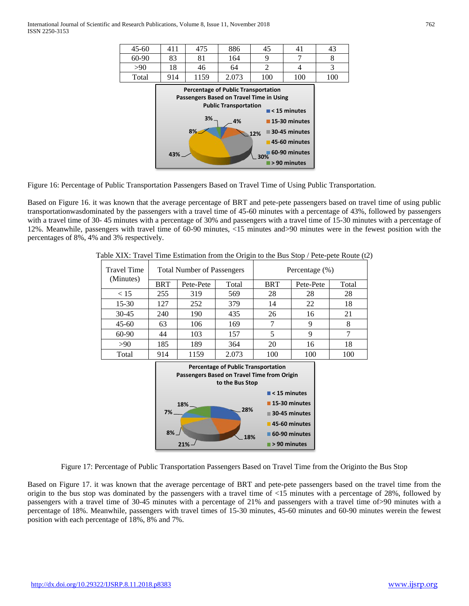

Figure 16: Percentage of Public Transportation Passengers Based on Travel Time of Using Public Transportation.

Based on Figure 16. it was known that the average percentage of BRT and pete-pete passengers based on travel time of using public transportationwasdominated by the passengers with a travel time of 45-60 minutes with a percentage of 43%, followed by passengers with a travel time of 30- 45 minutes with a percentage of 30% and passengers with a travel time of 15-30 minutes with a percentage of 12%. Meanwhile, passengers with travel time of 60-90 minutes, <15 minutes and>90 minutes were in the fewest position with the percentages of 8%, 4% and 3% respectively.

| <b>Travel Time</b> |            | <b>Total Number of Passengers</b> |       | Percentage (%) |           |       |  |
|--------------------|------------|-----------------------------------|-------|----------------|-----------|-------|--|
| (Minutes)          | <b>BRT</b> | Pete-Pete                         | Total | <b>BRT</b>     | Pete-Pete | Total |  |
| < 15               | 255        | 319                               | 569   | 28             | 28        | 28    |  |
| $15-30$            | 127        | 252                               | 379   | 14             | 22        | 18    |  |
| $30 - 45$          | 240        | 190                               | 435   | 26             | 16        | 21    |  |
| $45 - 60$          | 63         | 106                               | 169   |                | 9         |       |  |
| 60-90              | 44         | 103                               | 157   | 5              | 9         |       |  |
| >90                | 185        | 189                               | 364   | 20             | 16        | 18    |  |
| Total              | 914        | 1159                              | 2.073 | 100            | 100       | 100   |  |

Table XIX: Travel Time Estimation from the Origin to the Bus Stop / Pete-pete Route (t2)



Figure 17: Percentage of Public Transportation Passengers Based on Travel Time from the Originto the Bus Stop

Based on Figure 17. it was known that the average percentage of BRT and pete-pete passengers based on the travel time from the origin to the bus stop was dominated by the passengers with a travel time of <15 minutes with a percentage of 28%, followed by passengers with a travel time of 30-45 minutes with a percentage of 21% and passengers with a travel time of>90 minutes with a percentage of 18%. Meanwhile, passengers with travel times of 15-30 minutes, 45-60 minutes and 60-90 minutes werein the fewest position with each percentage of 18%, 8% and 7%.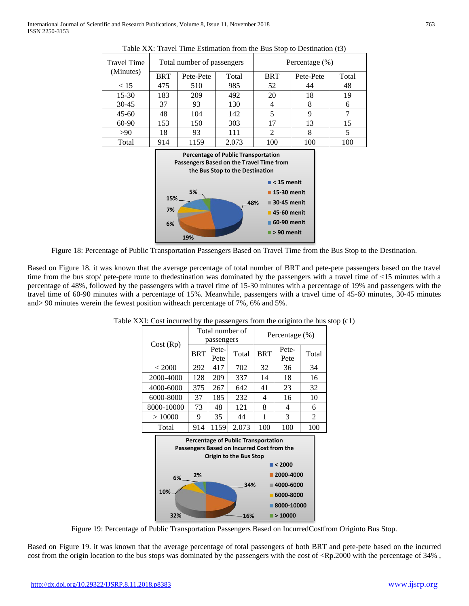| <b>Travel Time</b>                                                                                                        |                | Total number of passengers |       | Percentage (%)             |                           |       |  |
|---------------------------------------------------------------------------------------------------------------------------|----------------|----------------------------|-------|----------------------------|---------------------------|-------|--|
| (Minutes)                                                                                                                 | BRT            | Pete-Pete                  | Total | BRT                        | Pete-Pete                 | Total |  |
| < 15                                                                                                                      | 475            | 510                        | 985   | 52                         | 44                        | 48    |  |
| 15-30                                                                                                                     | 183            | 209                        | 492   | 20                         | 18                        | 19    |  |
| $30 - 45$                                                                                                                 | 37             | 93                         | 130   | 4                          | 8                         | 6     |  |
| $45 - 60$                                                                                                                 | 48             | 104                        | 142   | 5                          | 9                         | 7     |  |
| 60-90                                                                                                                     | 153            | 150                        | 303   | 17                         | 13                        | 15    |  |
| >90                                                                                                                       | 18             | 93                         | 111   | 2                          | 8                         | 5     |  |
| Total                                                                                                                     | 914            | 1159                       | 2.073 | 100                        | 100                       | 100   |  |
| <b>Percentage of Public Transportation</b><br>Passengers Based on the Travel Time from<br>the Bus Stop to the Destination |                |                            |       |                            |                           |       |  |
|                                                                                                                           |                |                            |       |                            | $\blacksquare$ < 15 menit |       |  |
|                                                                                                                           | 5%             |                            |       | $\blacksquare$ 15-30 menit |                           |       |  |
|                                                                                                                           | 15%            |                            |       | ■ 30-45 menit<br>48%       |                           |       |  |
|                                                                                                                           | 7%             |                            |       | $\blacksquare$ 45-60 menit |                           |       |  |
|                                                                                                                           | C <sub>0</sub> |                            |       | ■60-90 menit               |                           |       |  |

Table XX: Travel Time Estimation from the Bus Stop to Destination (t3)

Figure 18: Percentage of Public Transportation Passengers Based on Travel Time from the Bus Stop to the Destination.

**> 90 menit**

**19%**

**6%**

Based on Figure 18. it was known that the average percentage of total number of BRT and pete-pete passengers based on the travel time from the bus stop/ pete-pete route to thedestination was dominated by the passengers with a travel time of <15 minutes with a percentage of 48%, followed by the passengers with a travel time of 15-30 minutes with a percentage of 19% and passengers with the travel time of 60-90 minutes with a percentage of 15%. Meanwhile, passengers with a travel time of 45-60 minutes, 30-45 minutes and> 90 minutes werein the fewest position witheach percentage of 7%, 6% and 5%.

| Cost (Rp)  |            | Total number of<br>passengers |       | Percentage $(\% )$ |               |       |  |
|------------|------------|-------------------------------|-------|--------------------|---------------|-------|--|
|            | <b>BRT</b> | Pete-<br>Pete                 | Total | <b>BRT</b>         | Pete-<br>Pete | Total |  |
| < 2000     | 292        | 417                           | 702   | 32                 | 36            | 34    |  |
| 2000-4000  | 128        | 209                           | 337   | 14                 | 18            | 16    |  |
| 4000-6000  | 375        | 267                           | 642   | 41                 | 23            | 32    |  |
| 6000-8000  | 37         | 185                           | 232   | 4                  | 16            | 10    |  |
| 8000-10000 | 73         | 48                            | 121   | 8                  | 4             | 6     |  |
| >10000     | 9          | 35                            | 44    | 1                  | 3             | 2     |  |
| Total      | 914        | 1159                          | 2.073 | 100                | 100           | 100   |  |

Table XXI: Cost incurred by the passengers from the originto the bus stop (c1)



Figure 19: Percentage of Public Transportation Passengers Based on IncurredCostfrom Originto Bus Stop.

Based on Figure 19. it was known that the average percentage of total passengers of both BRT and pete-pete based on the incurred cost from the origin location to the bus stops was dominated by the passengers with the cost of <Rp.2000 with the percentage of 34% ,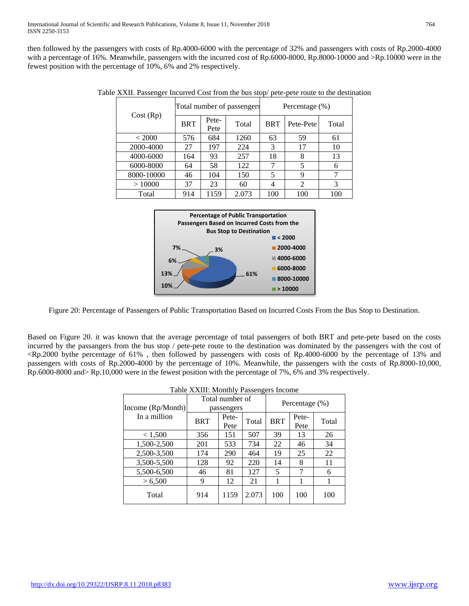then followed by the passengers with costs of Rp.4000-6000 with the percentage of 32% and passengers with costs of Rp.2000-4000 with a percentage of 16%. Meanwhile, passengers with the incurred cost of Rp.6000-8000, Rp.8000-10000 and >Rp.10000 were in the fewest position with the percentage of 10%, 6% and 2% respectively.

|            |            |               | Total number of passengers | Percentage (%) |                |       |  |
|------------|------------|---------------|----------------------------|----------------|----------------|-------|--|
| Cost (Rp)  | <b>BRT</b> | Pete-<br>Pete | Total                      | <b>BRT</b>     | Pete-Pete      | Total |  |
| < 2000     | 576        | 684           | 1260                       | 63             | 59             | 61    |  |
| 2000-4000  | 27         | 197           | 224                        | 3              | 17             | 10    |  |
| 4000-6000  | 164        | 93            | 257                        | 18             | 8              | 13    |  |
| 6000-8000  | 64         | 58            | 122                        | 7              | 5              | h     |  |
| 8000-10000 | 46         | 104           | 150                        | 5              | 9              |       |  |
| >10000     | 37         | 23            | 60                         | 4              | $\overline{2}$ | 3     |  |
| Total      | 914        | 1159          | 2.073                      | 100            | 100            | 100   |  |

Table XXII. Passenger Incurred Cost from the bus stop/ pete-pete route to the destination



Figure 20: Percentage of Passengers of Public Transportation Based on Incurred Costs From the Bus Stop to Destination.

Based on Figure 20. it was known that the average percentage of total passengers of both BRT and pete-pete based on the costs incurred by the passangers from the bus stop / pete-pete route to the destination was dominated by the passengers with the cost of <Rp.2000 bythe percentage of 61% , then followed by passengers with costs of Rp.4000-6000 by the percentage of 13% and passengers with costs of Rp.2000-4000 by the percentage of 10%. Meanwhile, the passengers with the costs of Rp.8000-10,000, Rp.6000-8000 and> Rp.10,000 were in the fewest position with the percentage of 7%, 6% and 3% respectively.

| Table XXIII: Monthly Passengers Income |            |                               |       |                   |               |       |  |
|----------------------------------------|------------|-------------------------------|-------|-------------------|---------------|-------|--|
| Income (Rp/Month)                      |            | Total number of<br>passengers |       | Percentage $(\%)$ |               |       |  |
| In a million                           | <b>BRT</b> | Pete-<br>Pete                 | Total | <b>BRT</b>        | Pete-<br>Pete | Total |  |
| < 1,500                                | 356        | 151                           | 507   | 39                | 13            | 26    |  |
| 1,500-2,500                            | 201        | 533                           | 734   | 22                | 46            | 34    |  |
| 2,500-3,500                            | 174        | 290                           | 464   | 19                | 25            | 22    |  |
| 3,500-5,500                            | 128        | 92                            | 220   | 14                | 8             | 11    |  |
| 5,500-6,500                            | 46         | 81                            | 127   | 5                 | 7             | 6     |  |
| > 6,500                                | 9          | 12                            | 21    |                   |               |       |  |
| Total                                  | 914        | 1159                          | 2.073 | 100               | 100           | 100   |  |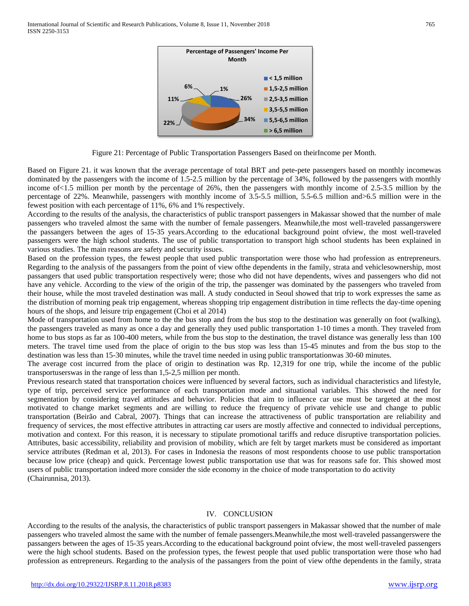

Figure 21: Percentage of Public Transportation Passengers Based on theirIncome per Month.

Based on Figure 21. it was known that the average percentage of total BRT and pete-pete passengers based on monthly incomewas dominated by the passengers with the income of 1.5-2.5 million by the percentage of 34%, followed by the passengers with monthly income of<1.5 million per month by the percentage of 26%, then the passengers with monthly income of 2.5-3.5 million by the percentage of 22%. Meanwhile, passengers with monthly income of 3.5-5.5 million, 5.5-6.5 million and>6.5 million were in the fewest position with each percentage of 11%, 6% and 1% respectively.

According to the results of the analysis, the characteristics of public transport passengers in Makassar showed that the number of male passengers who traveled almost the same with the number of female passengers. Meanwhile,the most well-traveled passangerswere the passangers between the ages of 15-35 years.According to the educational background point ofview, the most well-traveled passengers were the high school students. The use of public transportation to transport high school students has been explained in various studies. The main reasons are safety and security issues.

Based on the profession types, the fewest people that used public transportation were those who had profession as entrepreneurs. Regarding to the analysis of the passangers from the point of view ofthe dependents in the family, strata and vehiclesownership, most passangers that used public transportation respectively were; those who did not have dependents, wives and passengers who did not have any vehicle. According to the view of the origin of the trip, the passenger was dominated by the passengers who traveled from their house, while the most traveled destination was mall. A study conducted in Seoul showed that trip to work expresses the same as the distribution of morning peak trip engagement, whereas shopping trip engagement distribution in time reflects the day-time opening hours of the shops, and leisure trip engagement (Choi et al 2014)

Mode of transportation used from home to the the bus stop and from the bus stop to the destination was generally on foot (walking), the passengers traveled as many as once a day and generally they used public transportation 1-10 times a month. They traveled from home to bus stops as far as 100-400 meters, while from the bus stop to the destination, the travel distance was generally less than 100 meters. The travel time used from the place of origin to the bus stop was less than 15-45 minutes and from the bus stop to the destination was less than 15-30 minutes, while the travel time needed in using public transportationwas 30-60 minutes.

The average cost incurred from the place of origin to destination was Rp. 12,319 for one trip, while the income of the public transportuserswas in the range of less than 1,5-2,5 million per month.

Previous research stated that transportation choices were influenced by several factors, such as individual characteristics and lifestyle, type of trip, perceived service performance of each transportation mode and situational variables. This showed the need for segmentation by considering travel attitudes and behavior. Policies that aim to influence car use must be targeted at the most motivated to change market segments and are willing to reduce the frequency of private vehicle use and change to public transportation (Beirão and Cabral, 2007). Things that can increase the attractiveness of public transportation are reliability and frequency of services, the most effective attributes in attracting car users are mostly affective and connected to individual perceptions, motivation and context. For this reason, it is necessary to stipulate promotional tariffs and reduce disruptive transportation policies. Attributes, basic accessibility, reliability and provision of mobility, which are felt by target markets must be considered as important service attributes (Redman et al, 2013). For cases in Indonesia the reasons of most respondents choose to use public transportation because low price (cheap) and quick. Percentage lowest public transportation use that was for reasons safe for. This showed most users of public transportation indeed more consider the side economy in the choice of mode transportation to do activity (Chairunnisa, 2013).

#### IV. CONCLUSION

According to the results of the analysis, the characteristics of public transport passengers in Makassar showed that the number of male passengers who traveled almost the same with the number of female passengers.Meanwhile,the most well-traveled passangerswere the passangers between the ages of 15-35 years.According to the educational background point ofview, the most well-traveled passengers were the high school students. Based on the profession types, the fewest people that used public transportation were those who had profession as entrepreneurs. Regarding to the analysis of the passangers from the point of view ofthe dependents in the family, strata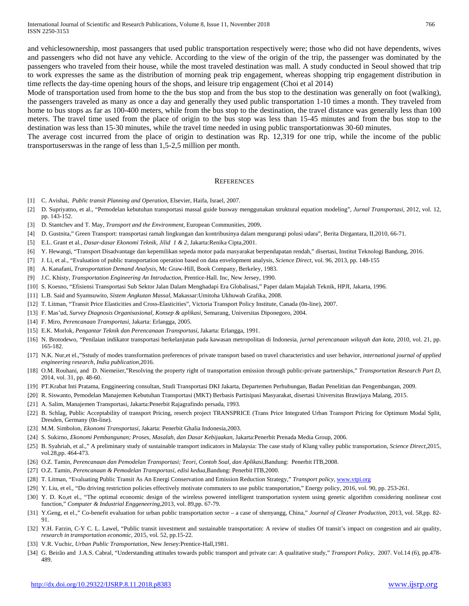and vehiclesownership, most passangers that used public transportation respectively were; those who did not have dependents, wives and passengers who did not have any vehicle. According to the view of the origin of the trip, the passenger was dominated by the passengers who traveled from their house, while the most traveled destination was mall. A study conducted in Seoul showed that trip to work expresses the same as the distribution of morning peak trip engagement, whereas shopping trip engagement distribution in time reflects the day-time opening hours of the shops, and leisure trip engagement (Choi et al 2014)

Mode of transportation used from home to the the bus stop and from the bus stop to the destination was generally on foot (walking), the passengers traveled as many as once a day and generally they used public transportation 1-10 times a month. They traveled from home to bus stops as far as 100-400 meters, while from the bus stop to the destination, the travel distance was generally less than 100 meters. The travel time used from the place of origin to the bus stop was less than 15-45 minutes and from the bus stop to the destination was less than 15-30 minutes, while the travel time needed in using public transportationwas 30-60 minutes.

The average cost incurred from the place of origin to destination was Rp. 12,319 for one trip, while the income of the public transportuserswas in the range of less than 1,5-2,5 million per month.

#### **REFERENCES**

- [1] C. Avishai, *Public transit Planning and Operation*, Elsevier, Haifa, Israel, 2007.
- [2] D. Supriyatno, et al., "Pemodelan kebutuhan transportasi massal guide busway menggunakan struktural equation modeling", *Jurnal Transportasi,* 2012, vol. 12, pp. 143-152.
- [3] D. Stantchev and T. May, *Transport and the Environment*, European Communities, 2009.
- [4] D. Gustnita," Green Transport: transportasi ramah lingkungan dan kontribusinya dalam mengurangi polusi udara", Berita Dirgantara, II,2010, 66-71.
- [5] E.L. Grant et al*., Dasar-dasar Ekonomi Teknik, Jilid 1 & 2*, Jakarta:Renika Cipta,2001.
- [6] Y. Hewangi, "Transport Disadvantage dan kepemilikan sepeda motor pada masyarakat berpendapatan rendah," disertasi, Institut Teknologi Bandung, 2016.
- [7] J. Li, et al., "Evaluation of public transportation operation based on data envelopment analysis, *Science Direct*, vol. 96, 2013, pp. 148-155
- [8] A. Kanafani, *Transportation Demand Analysis*, Mc Graw-Hill, Book Company, Berkeley, 1983.
- [9] J.C. Khisty, *Transportation Engineering An Introduction*, Prentice-Hall. Inc, New Jersey, 1990.
- [10] S. Koesno, "Efisiensi Transportasi Sub Sektor Jalan Dalam Menghadapi Era Globalisasi," Paper dalam Majalah Teknik, HPJI, Jakarta, 1996.
- [11] L.B. Said and Syamsuwito*, Sistem Angkutan Massal,* Makassar:Umitoha Ukhuwah Grafika, 2008.
- [12] T. Litman, "Transit Price Elasticities and Cross-Elasticities", Victoria Transport Policy Institute, Canada (0n-line), 2007.
- [13] F. Mas'ud, *Survey Diagnosis Organisasional, Konsep & aplikasi*, Semarang, Universitas Diponegoro, 2004.
- [14] F. Miro, *Perencanaan Transportasi*, Jakarta: Erlangga, 2005.
- [15] E.K. Morlok, *Pengantar Teknik dan Perencanaan Transportasi*, Jakarta: Erlangga, 1991.
- [16] N. Brotodewo, "Penilaian indikator transportasi berkelanjutan pada kawasan metropolitan di Indonesia, *jurnal perencanaan wilayah dan kota*, 2010, vol. 21, pp. 165-182.
- [17] N.K. Nur,et el.,"Sstudy of modes transformation preferences of private transport based on travel characteristics and user behavior, *international journal of applied engineering research, India publication*,2016.
- [18] O.M. Rouhani, and D. Niemeiier,"Resolving the property right of transportation emission through public-private partnerships," *Transportation Research Part D*, 2014, vol. 31, pp. 48-60.
- [19] PT.Krabat Inti Pratama, Enggineering consultan, Studi Transportasi DKI Jakarta, Departemen Perhubungan, Badan Penelitian dan Pengembangan, 2009.
- [20] R. Siswanto, Pemodelan Manajemen Kebutuhan Transportasi (MKT) Berbasis Partisipasi Masyarakat, disertasi Universitas Brawijaya Malang, 2015.
- [21] A. Salim, Manajemen Transportasi, Jakarta:Penerbit Rajagrafindo persada, 1993.
- [22] B. Schlag, Public Acceptability of transport Pricing, reserch project TRANSPRICE (Trans Price Integrated Urban Transport Pricing for Optimum Modal Split, Dresden, Germany (0n-line).
- [23] M.M. Simbolon, *Ekonomi Transportasi*, Jakarta: Penerbit Ghalia Indonesia,2003.
- [24] S. Sukirno, *Ekonomi Pembangunan; Proses, Masalah, dan Dasar Kebijaakan*, Jakarta:Penerbit Prenada Media Group, 2006.
- [25] B. Syahriah, et al.," A preliminary study of sustainable transport indicators in Malaysia: The case study of Klang valley public transportation, *Science Direct*,2015, vol.28,pp. 464-473.
- [26] O.Z. Tamin, *Perencanaan dan Pemodelan Transportasi; Teori, Contoh Soal, dan Aplikasi*,Bandung: Penerbit ITB,2008.
- [27] O.Z. Tamin, *Perencanaan & Pemodelan Transportasi, edisi kedua*,Bandung: Penerbit ITB,2000.
- [28] T. Litman, "Evaluating Public Transit As An Energi Conservation and Emission Reduction Strategy," *Transport policy*, [www.vtpi.org](http://www.vtpi.org/)
- [29] Y. Liu, et el., "Do driving restriction policies effectively motivate commuters to use public transportation," Energy policy, 2016, vol. 90, pp. 253-261.
- [30] Y. D. Ko,et el., "The optimal economic design of the wireless powered intelligent transportation system using genetic algorithm considering nonlinear cost function," *Computer & Industrial Enggeneering*,2013, vol. 89,pp. 67-79.
- [31] Y.Geng, et el.," Co-benefit evaluation for urban public transportation sector a case of shenyangg, China," *Journal of Cleaner Production*, 2013, vol. 58,pp. 82- 91.
- [32] Y.H. Farzin, C-Y C. L. Lawel, "Public transit investment and sustainable transportation: A review of studies Of transit's impact on congestion and air quality, *research in transportation economic,* 2015, vol. 52, pp.15-22.
- [33] V.R. Vuchic, *Urban Public Transportation,* New Jersey:Prentice-Hall,1981.
- [34] G. Beirão and J.A.S. Cabral, "Understanding attitudes towards public transport and private car: A qualitative study," *Transport Policy*, 2007. Vol.14 (6), pp.478- 489.